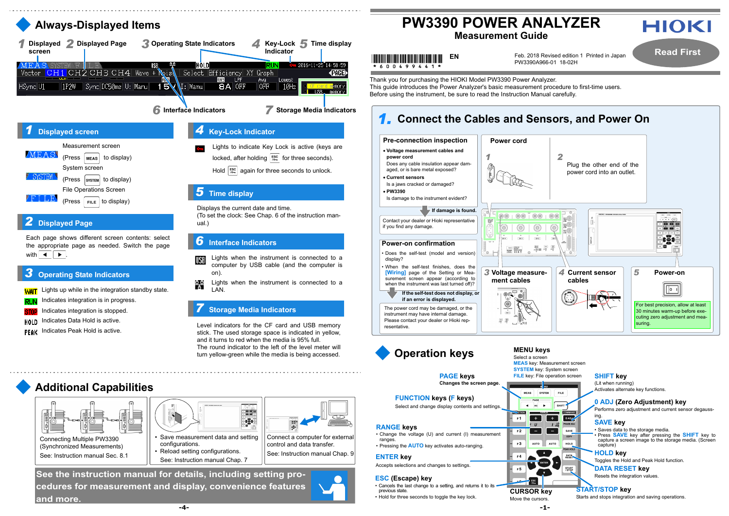



**-1-**

Thank you for purchasing the HIOKI Model PW3390 Power Analyzer. This guide introduces the Power Analyzer's basic measurement procedure to first-time users. Before using the instrument, be sure to read the Instruction Manual carefully.

- 
- 원우 Lights when the instrument is connected to a **LAN.**

Connect a computer for external control and data transfer.

 $\mathbb{R}$ 

See: Instruction manual Chap. 9

- Save measurement data and setting configurations.
- Reload setting configurations. See: Instruction manual Chap. 7



(Synchronized Measurements) See: Instruction manual Sec. 8.1





**Additional Capabilities**

### **Operating State Indicators**

**WAIT** Lights up while in the integration standby state.

- Indicates integration is in progress.
- Indicates integration is stopped.
- **HOLD** Indicates Data Hold is active.
- Indicates Peak Hold is active.



### *7***Storage Media Indicators**

335

 $\frac{1}{2}$ 

Level indicators for the CF card and USB memory stick. The used storage space is indicated in yellow, and it turns to red when the media is 95% full.The round indicator to the left of the level meter willturn yellow-green while the media is being accessed.

# **Measurement Guide**

# \* 6 0 0 4 9 9 4 4 1

Feb. 2018 Revised edition 1 Printed in Japan **EN**

PW3390A966-01 18-02H

**Read First**





### *1.***Connect the Cables and Sensors, and Power On Pre-connection inspection Power cordVoltage measurement cables and power cord** *1*Does any cable insulation appear damaged, or is bare metal exposed? **Current sensors** Is a jaws cracked or damaged? **PW3390**Is damage to the instrument evident? **If damage is found.**  $00000000000$ രെ Contact your dealer or Hioki representative  $-100V-2$ if you find any damage.  $\circledcirc$  $^{\circledR}$ **Power-on confirmation**• Does the self-test (model and version) display? • When the self-test finishes, does the **[Wiring]** page of the Setting or Mea-*3***Voltage measure**surement screen appear (according to **ment cables**when the instrument was last turned off)? **If the self-test does not display, or**  `@| **if an error is displayed.** The power cord may be damaged, or the instrument may have internal damage. Please contact your dealer or Hioki rep-圖圖 resentative.

**Changes the screen page.**

**FUNCTION keys ( F keys)** Select and change display contents and settings.

### **RANGE keys**

- Change the voltage (U) and current (I) measurement ranges
- Pressing the **AUTO** key activates auto-ranging.



### **ESC (Escape) key**

- Cancels the last change to a setting, and returns it to its previous state.
- Hold for three seconds to toggle the key lock.

### **ENTER key**

Accepts selections and changes to settings.



**MEAS** 

 $F1$ 

 $F<sub>2</sub>$ 

F3

 $F_4$ 

F5.

 $\overline{4}$  avg  $\overline{5}$ 

 $\Box$ 

 $\overline{\phantom{a}}$ 

 $\overline{U}$ 

 $\frac{1}{2}$  ESC

## **PAGE keys FILE** key: File operation screen